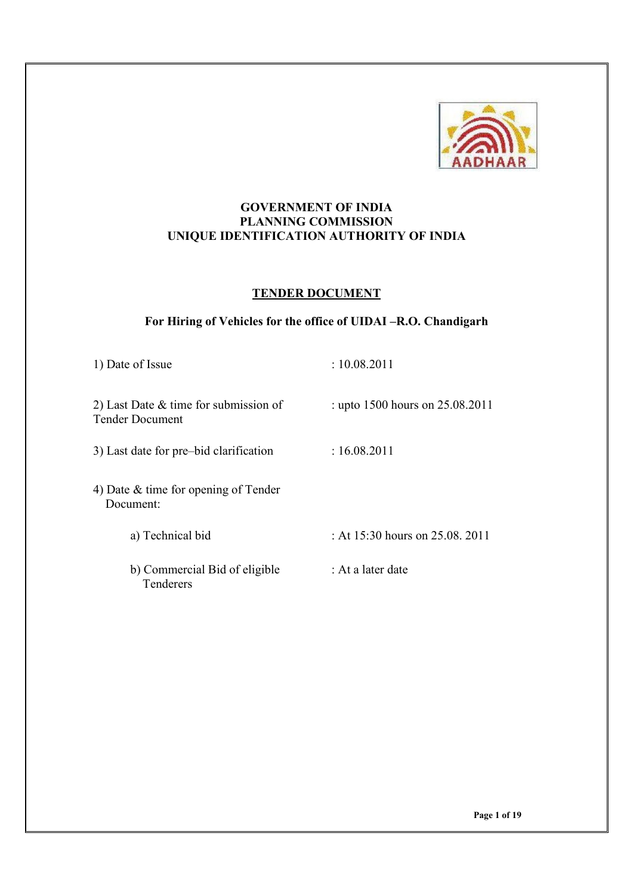

### **GOVERNMENT OF INDIA PLANNING COMMISSION UNIQUE IDENTIFICATION AUTHORITY OF INDIA**

#### **TENDER DOCUMENT**

# **For Hiring of Vehicles for the office of UIDAI –R.O. Chandigarh**

| 1) Date of Issue                                                  | : 10.08.2011                           |
|-------------------------------------------------------------------|----------------------------------------|
| 2) Last Date $&$ time for submission of<br><b>Tender Document</b> | : upto 1500 hours on 25.08.2011        |
| 3) Last date for pre-bid clarification                            | : 16.08.2011                           |
| 4) Date $\&$ time for opening of Tender<br>Document:              |                                        |
| a) Technical bid                                                  | : At $15:30$ hours on $25.08$ , $2011$ |
| b) Commercial Bid of eligible<br>Tenderers                        | : At a later date                      |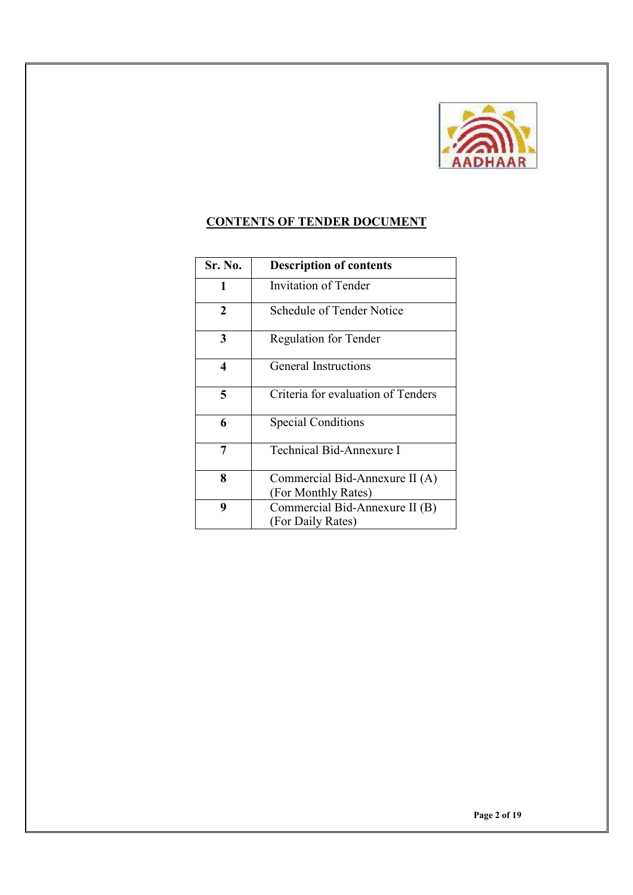

# **CONTENTS OF TENDER DOCUMENT**

| <b>Sr. No.</b> | <b>Description of contents</b>                        |
|----------------|-------------------------------------------------------|
| 1              | Invitation of Tender                                  |
| $\mathbf{2}$   | Schedule of Tender Notice                             |
| 3              | <b>Regulation for Tender</b>                          |
| 4              | <b>General Instructions</b>                           |
| 5              | Criteria for evaluation of Tenders                    |
| 6              | <b>Special Conditions</b>                             |
| 7              | Technical Bid-Annexure I                              |
| 8              | Commercial Bid-Annexure II (A)<br>(For Monthly Rates) |
| 9              | Commercial Bid-Annexure II (B)<br>(For Daily Rates)   |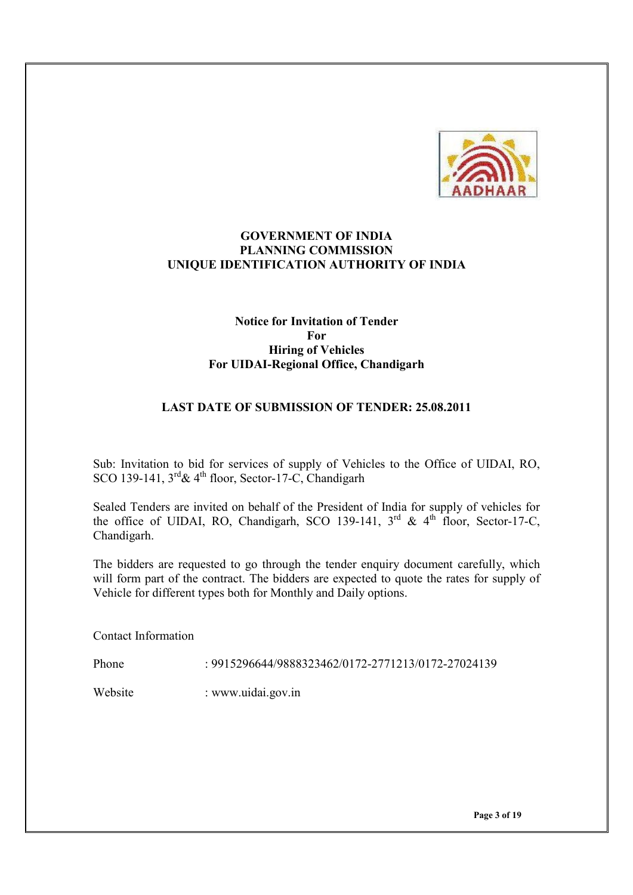

#### **GOVERNMENT OF INDIA PLANNING COMMISSION UNIQUE IDENTIFICATION AUTHORITY OF INDIA**

### **Notice for Invitation of Tender For Hiring of Vehicles For UIDAI-Regional Office, Chandigarh**

### **LAST DATE OF SUBMISSION OF TENDER: 25.08.2011**

Sub: Invitation to bid for services of supply of Vehicles to the Office of UIDAI, RO, SCO 139-141,  $3^{rd}$ &  $4^{th}$  floor, Sector-17-C, Chandigarh

Sealed Tenders are invited on behalf of the President of India for supply of vehicles for the office of UIDAI, RO, Chandigarh, SCO 139-141,  $3^{rd}$  &  $4^{th}$  floor, Sector-17-C, Chandigarh.

The bidders are requested to go through the tender enquiry document carefully, which will form part of the contract. The bidders are expected to quote the rates for supply of Vehicle for different types both for Monthly and Daily options.

Contact Information

Phone : 9915296644/9888323462/0172-2771213/0172-27024139

Website : www.uidai.gov.in

**Page 3 of 19**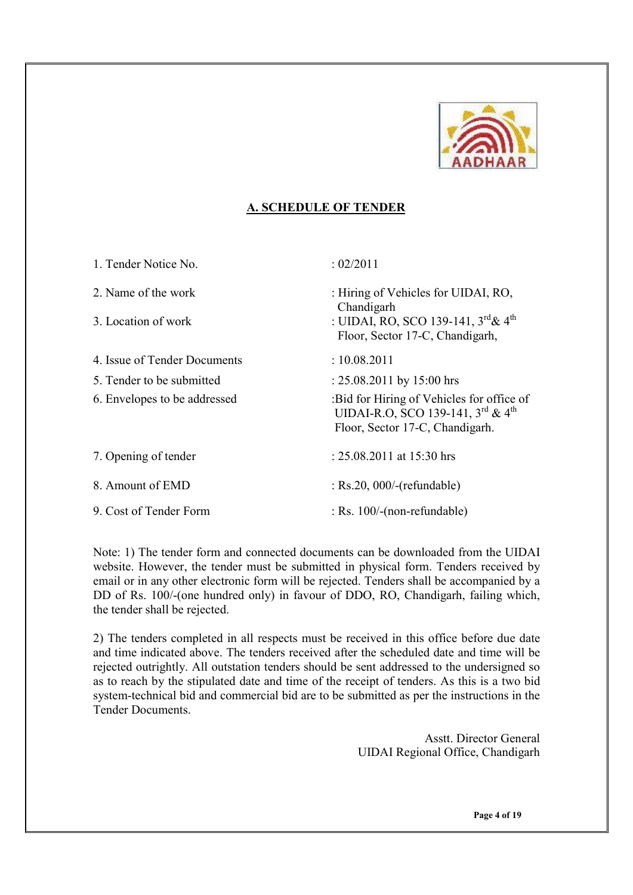

### **A. SCHEDULE OF TENDER**

| 1. Tender Notice No.         | : 02/2011                                                                                                         |
|------------------------------|-------------------------------------------------------------------------------------------------------------------|
| 2 Name of the work           | : Hiring of Vehicles for UIDAI, RO,<br>Chandigarh                                                                 |
| 3. Location of work          | : UIDAI, RO, SCO 139-141, $3^{rd}\&4^{th}$<br>Floor, Sector 17-C, Chandigarh,                                     |
| 4. Issue of Tender Documents | : 10.08.2011                                                                                                      |
| 5. Tender to be submitted    | : $25.08.2011$ by $15:00$ hrs                                                                                     |
| 6. Envelopes to be addressed | :Bid for Hiring of Vehicles for office of<br>UIDAI-R.O. SCO 139-141, 3rd & 4th<br>Floor, Sector 17-C, Chandigarh. |
| 7. Opening of tender         | : $25.08.2011$ at $15:30$ hrs                                                                                     |
| 8. Amount of EMD             | $:$ Rs.20, 000/-(refundable)                                                                                      |
| 9. Cost of Tender Form       | $:$ Rs. 100/-(non-refundable)                                                                                     |

Note: 1) The tender form and connected documents can be downloaded from the UIDAI website. However, the tender must be submitted in physical form. Tenders received by email or in any other electronic form will be rejected. Tenders shall be accompanied by a DD of Rs. 100/-(one hundred only) in favour of DDO, RO, Chandigarh, failing which, the tender shall be rejected.

2) The tenders completed in all respects must be received in this office before due date and time indicated above. The tenders received after the scheduled date and time will be rejected outrightly. All outstation tenders should be sent addressed to the undersigned so as to reach by the stipulated date and time of the receipt of tenders. As this is a two bid system-technical bid and commercial bid are to be submitted as per the instructions in the Tender Documents.

> Asstt. Director General UIDAI Regional Office, Chandigarh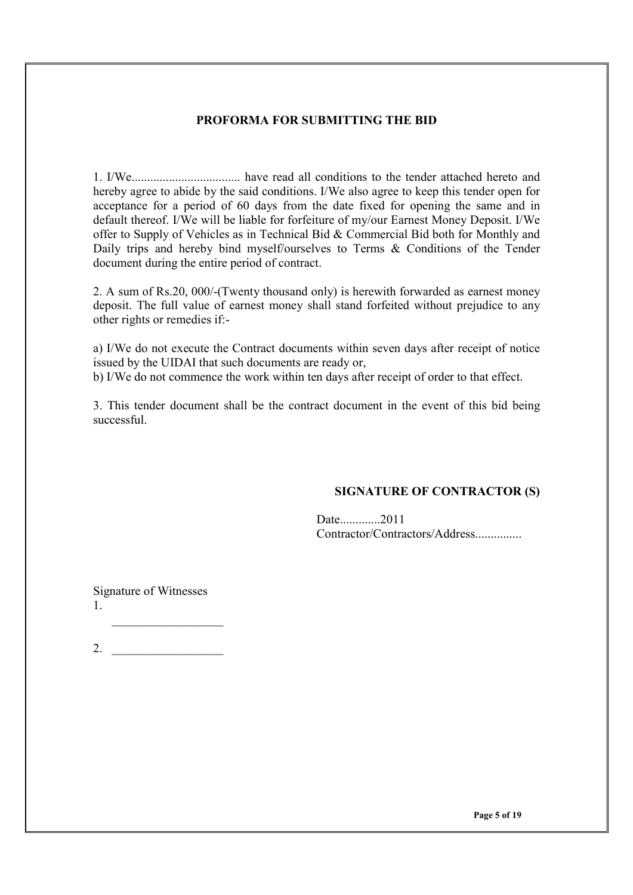#### **PROFORMA FOR SUBMITTING THE BID**

1. I/We................................... have read all conditions to the tender attached hereto and hereby agree to abide by the said conditions. I/We also agree to keep this tender open for acceptance for a period of 60 days from the date fixed for opening the same and in default thereof. I/We will be liable for forfeiture of my/our Earnest Money Deposit. I/We offer to Supply of Vehicles as in Technical Bid & Commercial Bid both for Monthly and Daily trips and hereby bind myself/ourselves to Terms & Conditions of the Tender document during the entire period of contract.

2. A sum of Rs.20, 000/-(Twenty thousand only) is herewith forwarded as earnest money deposit. The full value of earnest money shall stand forfeited without prejudice to any other rights or remedies if:-

a) I/We do not execute the Contract documents within seven days after receipt of notice issued by the UIDAI that such documents are ready or, b) I/We do not commence the work within ten days after receipt of order to that effect.

3. This tender document shall be the contract document in the event of this bid being successful.

#### **SIGNATURE OF CONTRACTOR (S)**

Date.............2011 Contractor/Contractors/Address...............

Signature of Witnesses 1.

2.  $\qquad \qquad$ 

 $\_$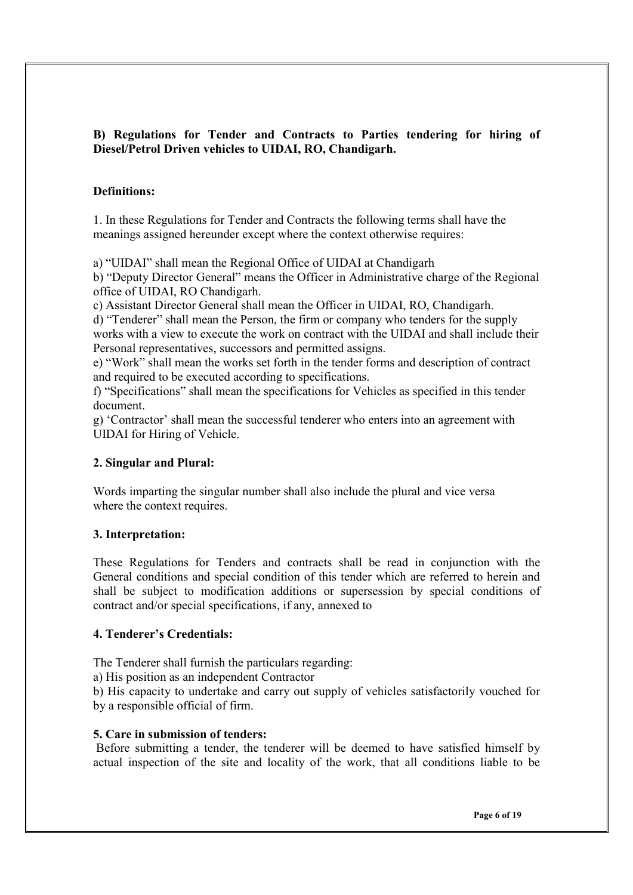# **B) Regulations for Tender and Contracts to Parties tendering for hiring of Diesel/Petrol Driven vehicles to UIDAI, RO, Chandigarh.**

### **Definitions:**

1. In these Regulations for Tender and Contracts the following terms shall have the meanings assigned hereunder except where the context otherwise requires:

a) "UIDAI" shall mean the Regional Office of UIDAI at Chandigarh

b) "Deputy Director General" means the Officer in Administrative charge of the Regional office of UIDAI, RO Chandigarh.

c) Assistant Director General shall mean the Officer in UIDAI, RO, Chandigarh.

d) "Tenderer" shall mean the Person, the firm or company who tenders for the supply works with a view to execute the work on contract with the UIDAI and shall include their Personal representatives, successors and permitted assigns.

e) "Work" shall mean the works set forth in the tender forms and description of contract and required to be executed according to specifications.

f) "Specifications" shall mean the specifications for Vehicles as specified in this tender document.

g) 'Contractor' shall mean the successful tenderer who enters into an agreement with UIDAI for Hiring of Vehicle.

# **2. Singular and Plural:**

Words imparting the singular number shall also include the plural and vice versa where the context requires.

# **3. Interpretation:**

These Regulations for Tenders and contracts shall be read in conjunction with the General conditions and special condition of this tender which are referred to herein and shall be subject to modification additions or supersession by special conditions of contract and/or special specifications, if any, annexed to

# **4. Tenderer's Credentials:**

The Tenderer shall furnish the particulars regarding:

a) His position as an independent Contractor

b) His capacity to undertake and carry out supply of vehicles satisfactorily vouched for by a responsible official of firm.

# **5. Care in submission of tenders:**

 Before submitting a tender, the tenderer will be deemed to have satisfied himself by actual inspection of the site and locality of the work, that all conditions liable to be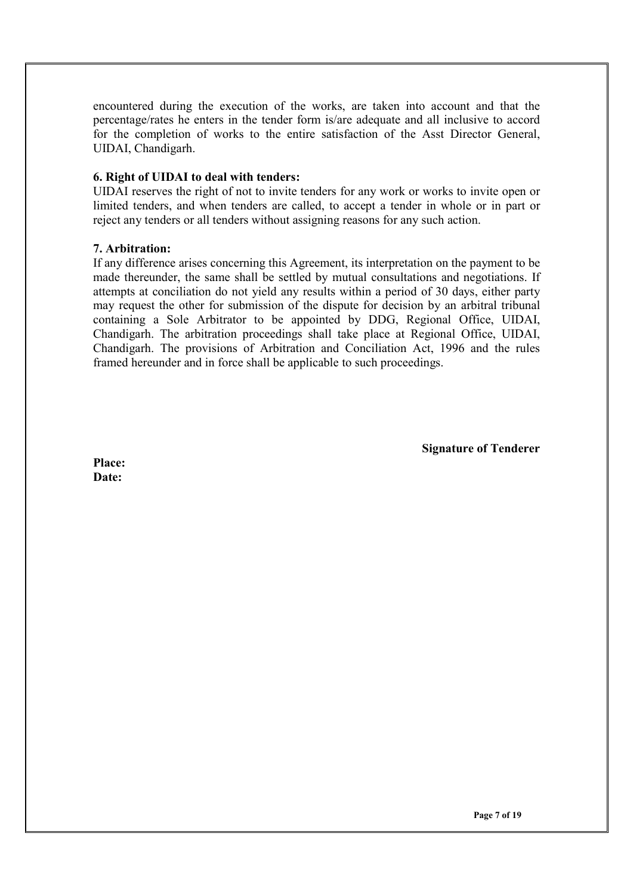encountered during the execution of the works, are taken into account and that the percentage/rates he enters in the tender form is/are adequate and all inclusive to accord for the completion of works to the entire satisfaction of the Asst Director General, UIDAI, Chandigarh.

#### **6. Right of UIDAI to deal with tenders:**

UIDAI reserves the right of not to invite tenders for any work or works to invite open or limited tenders, and when tenders are called, to accept a tender in whole or in part or reject any tenders or all tenders without assigning reasons for any such action.

#### **7. Arbitration:**

If any difference arises concerning this Agreement, its interpretation on the payment to be made thereunder, the same shall be settled by mutual consultations and negotiations. If attempts at conciliation do not yield any results within a period of 30 days, either party may request the other for submission of the dispute for decision by an arbitral tribunal containing a Sole Arbitrator to be appointed by DDG, Regional Office, UIDAI, Chandigarh. The arbitration proceedings shall take place at Regional Office, UIDAI, Chandigarh. The provisions of Arbitration and Conciliation Act, 1996 and the rules framed hereunder and in force shall be applicable to such proceedings.

**Signature of Tenderer** 

**Place: Date:**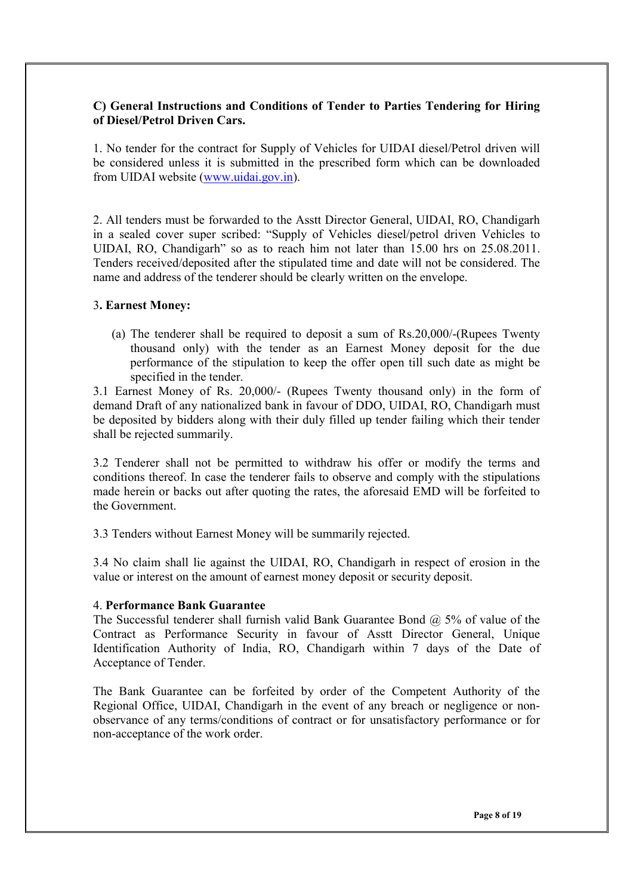### **C) General Instructions and Conditions of Tender to Parties Tendering for Hiring of Diesel/Petrol Driven Cars.**

1. No tender for the contract for Supply of Vehicles for UIDAI diesel/Petrol driven will be considered unless it is submitted in the prescribed form which can be downloaded from UIDAI website (www.uidai.gov.in).

2. All tenders must be forwarded to the Asstt Director General, UIDAI, RO, Chandigarh in a sealed cover super scribed: "Supply of Vehicles diesel/petrol driven Vehicles to UIDAI, RO, Chandigarh" so as to reach him not later than 15.00 hrs on 25.08.2011. Tenders received/deposited after the stipulated time and date will not be considered. The name and address of the tenderer should be clearly written on the envelope.

#### 3**. Earnest Money:**

(a) The tenderer shall be required to deposit a sum of Rs.20,000/-(Rupees Twenty thousand only) with the tender as an Earnest Money deposit for the due performance of the stipulation to keep the offer open till such date as might be specified in the tender.

3.1 Earnest Money of Rs. 20,000/- (Rupees Twenty thousand only) in the form of demand Draft of any nationalized bank in favour of DDO, UIDAI, RO, Chandigarh must be deposited by bidders along with their duly filled up tender failing which their tender shall be rejected summarily.

3.2 Tenderer shall not be permitted to withdraw his offer or modify the terms and conditions thereof. In case the tenderer fails to observe and comply with the stipulations made herein or backs out after quoting the rates, the aforesaid EMD will be forfeited to the Government.

3.3 Tenders without Earnest Money will be summarily rejected.

3.4 No claim shall lie against the UIDAI, RO, Chandigarh in respect of erosion in the value or interest on the amount of earnest money deposit or security deposit.

#### 4. **Performance Bank Guarantee**

The Successful tenderer shall furnish valid Bank Guarantee Bond  $\omega$  5% of value of the Contract as Performance Security in favour of Asstt Director General, Unique Identification Authority of India, RO, Chandigarh within 7 days of the Date of Acceptance of Tender.

The Bank Guarantee can be forfeited by order of the Competent Authority of the Regional Office, UIDAI, Chandigarh in the event of any breach or negligence or nonobservance of any terms/conditions of contract or for unsatisfactory performance or for non-acceptance of the work order.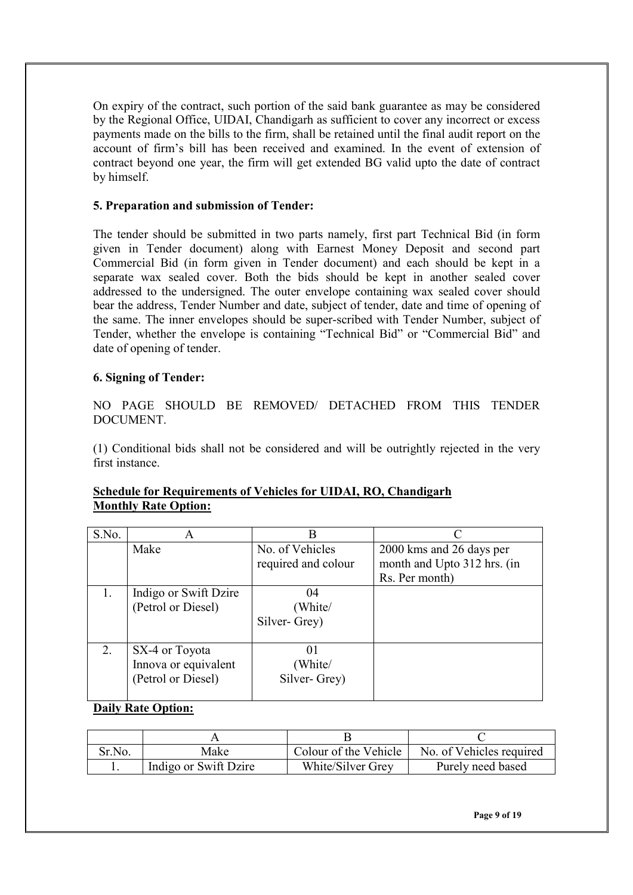On expiry of the contract, such portion of the said bank guarantee as may be considered by the Regional Office, UIDAI, Chandigarh as sufficient to cover any incorrect or excess payments made on the bills to the firm, shall be retained until the final audit report on the account of firm's bill has been received and examined. In the event of extension of contract beyond one year, the firm will get extended BG valid upto the date of contract by himself.

# **5. Preparation and submission of Tender:**

The tender should be submitted in two parts namely, first part Technical Bid (in form given in Tender document) along with Earnest Money Deposit and second part Commercial Bid (in form given in Tender document) and each should be kept in a separate wax sealed cover. Both the bids should be kept in another sealed cover addressed to the undersigned. The outer envelope containing wax sealed cover should bear the address, Tender Number and date, subject of tender, date and time of opening of the same. The inner envelopes should be super-scribed with Tender Number, subject of Tender, whether the envelope is containing "Technical Bid" or "Commercial Bid" and date of opening of tender.

### **6. Signing of Tender:**

NO PAGE SHOULD BE REMOVED/ DETACHED FROM THIS TENDER DOCUMENT.

(1) Conditional bids shall not be considered and will be outrightly rejected in the very first instance.

| S.No. | A                                                            | B                                      |                                                                           |
|-------|--------------------------------------------------------------|----------------------------------------|---------------------------------------------------------------------------|
|       | Make                                                         | No. of Vehicles<br>required and colour | 2000 kms and 26 days per<br>month and Upto 312 hrs. (in<br>Rs. Per month) |
| 1.    | Indigo or Swift Dzire<br>(Petrol or Diesel)                  | 04<br>(White/<br>Silver-Grey)          |                                                                           |
| 2.    | SX-4 or Toyota<br>Innova or equivalent<br>(Petrol or Diesel) | $_{01}$<br>(White/<br>Silver-Grey)     |                                                                           |

### **Schedule for Requirements of Vehicles for UIDAI, RO, Chandigarh Monthly Rate Option:**

### **Daily Rate Option:**

| Sr.No. | Make                  | Colour of the Vehicle | No. of Vehicles required |
|--------|-----------------------|-----------------------|--------------------------|
|        | Indigo or Swift Dzire | White/Silver Grey     | Purely need based        |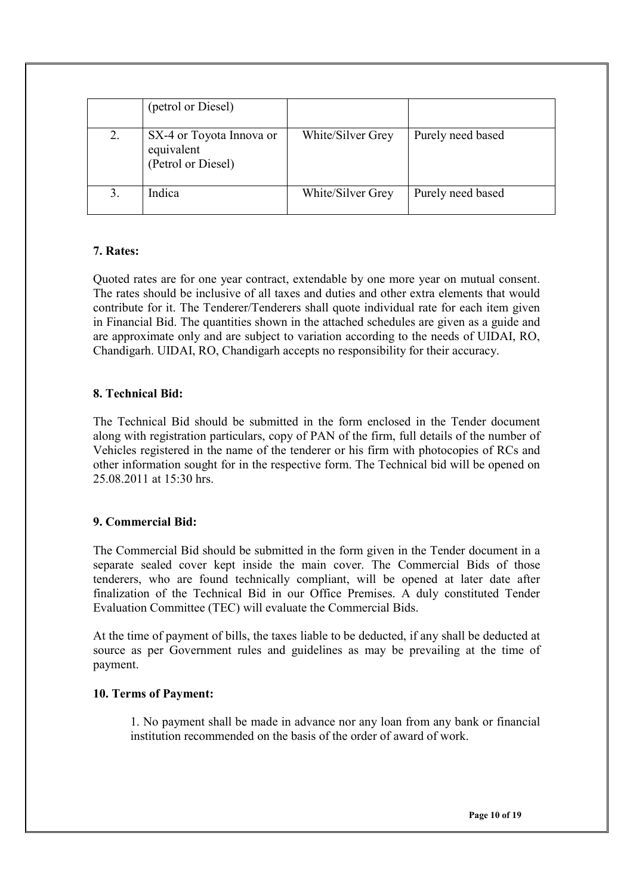|    | (petrol or Diesel)                                           |                   |                   |
|----|--------------------------------------------------------------|-------------------|-------------------|
| 2. | SX-4 or Toyota Innova or<br>equivalent<br>(Petrol or Diesel) | White/Silver Grey | Purely need based |
|    | Indica                                                       | White/Silver Grey | Purely need based |

### **7. Rates:**

Quoted rates are for one year contract, extendable by one more year on mutual consent. The rates should be inclusive of all taxes and duties and other extra elements that would contribute for it. The Tenderer/Tenderers shall quote individual rate for each item given in Financial Bid. The quantities shown in the attached schedules are given as a guide and are approximate only and are subject to variation according to the needs of UIDAI, RO, Chandigarh. UIDAI, RO, Chandigarh accepts no responsibility for their accuracy.

### **8. Technical Bid:**

The Technical Bid should be submitted in the form enclosed in the Tender document along with registration particulars, copy of PAN of the firm, full details of the number of Vehicles registered in the name of the tenderer or his firm with photocopies of RCs and other information sought for in the respective form. The Technical bid will be opened on 25.08.2011 at 15:30 hrs.

#### **9. Commercial Bid:**

The Commercial Bid should be submitted in the form given in the Tender document in a separate sealed cover kept inside the main cover. The Commercial Bids of those tenderers, who are found technically compliant, will be opened at later date after finalization of the Technical Bid in our Office Premises. A duly constituted Tender Evaluation Committee (TEC) will evaluate the Commercial Bids.

At the time of payment of bills, the taxes liable to be deducted, if any shall be deducted at source as per Government rules and guidelines as may be prevailing at the time of payment.

#### **10. Terms of Payment:**

1. No payment shall be made in advance nor any loan from any bank or financial institution recommended on the basis of the order of award of work.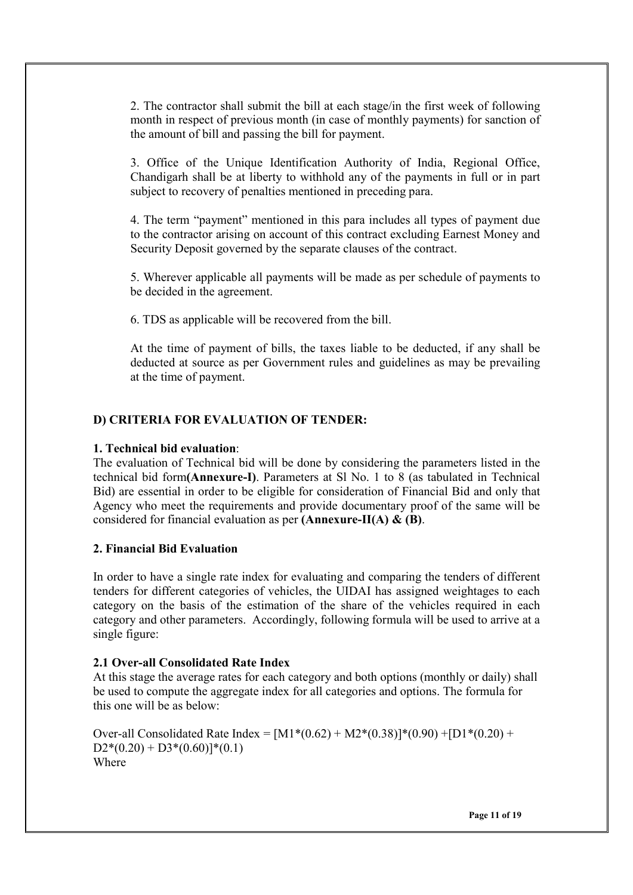2. The contractor shall submit the bill at each stage/in the first week of following month in respect of previous month (in case of monthly payments) for sanction of the amount of bill and passing the bill for payment.

3. Office of the Unique Identification Authority of India, Regional Office, Chandigarh shall be at liberty to withhold any of the payments in full or in part subject to recovery of penalties mentioned in preceding para.

4. The term "payment" mentioned in this para includes all types of payment due to the contractor arising on account of this contract excluding Earnest Money and Security Deposit governed by the separate clauses of the contract.

5. Wherever applicable all payments will be made as per schedule of payments to be decided in the agreement.

6. TDS as applicable will be recovered from the bill.

At the time of payment of bills, the taxes liable to be deducted, if any shall be deducted at source as per Government rules and guidelines as may be prevailing at the time of payment.

#### **D) CRITERIA FOR EVALUATION OF TENDER:**

#### **1. Technical bid evaluation**:

The evaluation of Technical bid will be done by considering the parameters listed in the technical bid form**(Annexure-I)**. Parameters at Sl No. 1 to 8 (as tabulated in Technical Bid) are essential in order to be eligible for consideration of Financial Bid and only that Agency who meet the requirements and provide documentary proof of the same will be considered for financial evaluation as per **(Annexure-II(A) & (B)**.

#### **2. Financial Bid Evaluation**

In order to have a single rate index for evaluating and comparing the tenders of different tenders for different categories of vehicles, the UIDAI has assigned weightages to each category on the basis of the estimation of the share of the vehicles required in each category and other parameters. Accordingly, following formula will be used to arrive at a single figure:

#### **2.1 Over-all Consolidated Rate Index**

At this stage the average rates for each category and both options (monthly or daily) shall be used to compute the aggregate index for all categories and options. The formula for this one will be as below:

Over-all Consolidated Rate Index =  $[M1*(0.62) + M2*(0.38)]*(0.90) + [D1*(0.20) +$  $D2*(0.20) + D3*(0.60)]*(0.1)$ Where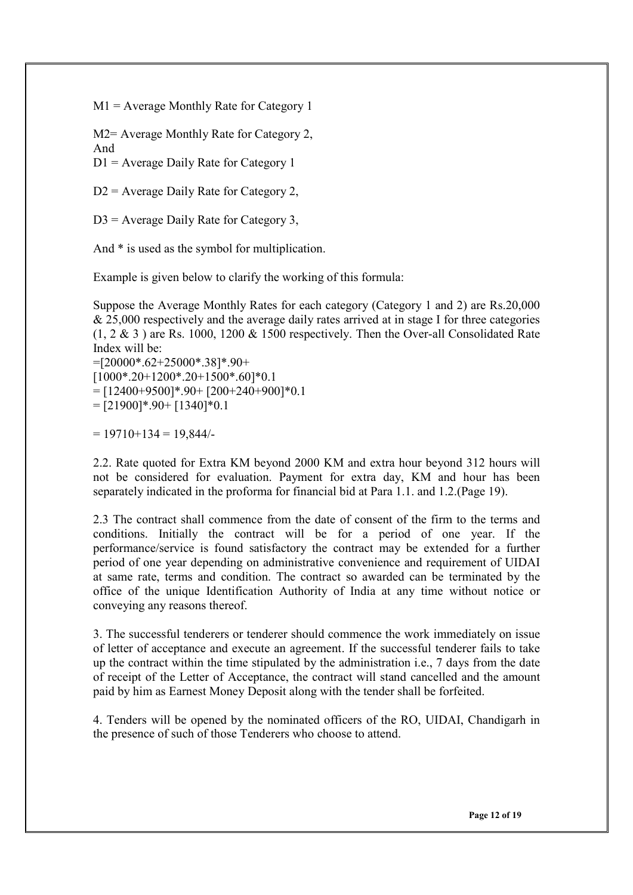M1 = Average Monthly Rate for Category 1

M2= Average Monthly Rate for Category 2, And

D1 = Average Daily Rate for Category 1

D2 = Average Daily Rate for Category 2,

D3 = Average Daily Rate for Category 3,

And \* is used as the symbol for multiplication.

Example is given below to clarify the working of this formula:

Suppose the Average Monthly Rates for each category (Category 1 and 2) are Rs.20,000 & 25,000 respectively and the average daily rates arrived at in stage I for three categories  $(1, 2 \& 3)$  are Rs. 1000, 1200  $\&$  1500 respectively. Then the Over-all Consolidated Rate Index will be:

=[20000\*.62+25000\*.38]\*.90+  $[1000*.20+1200*.20+1500*.60]*0.1$  $=$  [12400+9500]\*.90+ [200+240+900]\*0.1  $=[21900]*90+[1340]*0.1$ 

 $= 19710 + 134 = 19,844/$ 

2.2. Rate quoted for Extra KM beyond 2000 KM and extra hour beyond 312 hours will not be considered for evaluation. Payment for extra day, KM and hour has been separately indicated in the proforma for financial bid at Para 1.1. and 1.2.(Page 19).

2.3 The contract shall commence from the date of consent of the firm to the terms and conditions. Initially the contract will be for a period of one year. If the performance/service is found satisfactory the contract may be extended for a further period of one year depending on administrative convenience and requirement of UIDAI at same rate, terms and condition. The contract so awarded can be terminated by the office of the unique Identification Authority of India at any time without notice or conveying any reasons thereof.

3. The successful tenderers or tenderer should commence the work immediately on issue of letter of acceptance and execute an agreement. If the successful tenderer fails to take up the contract within the time stipulated by the administration i.e., 7 days from the date of receipt of the Letter of Acceptance, the contract will stand cancelled and the amount paid by him as Earnest Money Deposit along with the tender shall be forfeited.

4. Tenders will be opened by the nominated officers of the RO, UIDAI, Chandigarh in the presence of such of those Tenderers who choose to attend.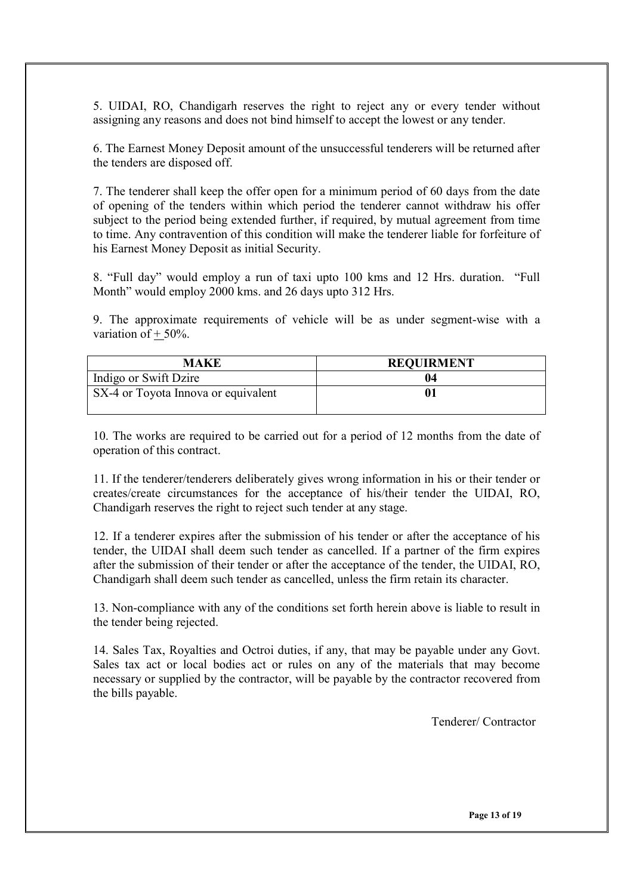5. UIDAI, RO, Chandigarh reserves the right to reject any or every tender without assigning any reasons and does not bind himself to accept the lowest or any tender.

6. The Earnest Money Deposit amount of the unsuccessful tenderers will be returned after the tenders are disposed off.

7. The tenderer shall keep the offer open for a minimum period of 60 days from the date of opening of the tenders within which period the tenderer cannot withdraw his offer subject to the period being extended further, if required, by mutual agreement from time to time. Any contravention of this condition will make the tenderer liable for forfeiture of his Earnest Money Deposit as initial Security.

8. "Full day" would employ a run of taxi upto 100 kms and 12 Hrs. duration. "Full Month" would employ 2000 kms. and 26 days upto 312 Hrs.

9. The approximate requirements of vehicle will be as under segment-wise with a variation of  $+50%$ .

| MAKE                                | <b>REQUIRMENT</b> |
|-------------------------------------|-------------------|
| Indigo or Swift Dzire               |                   |
| SX-4 or Toyota Innova or equivalent |                   |

10. The works are required to be carried out for a period of 12 months from the date of operation of this contract.

11. If the tenderer/tenderers deliberately gives wrong information in his or their tender or creates/create circumstances for the acceptance of his/their tender the UIDAI, RO, Chandigarh reserves the right to reject such tender at any stage.

12. If a tenderer expires after the submission of his tender or after the acceptance of his tender, the UIDAI shall deem such tender as cancelled. If a partner of the firm expires after the submission of their tender or after the acceptance of the tender, the UIDAI, RO, Chandigarh shall deem such tender as cancelled, unless the firm retain its character.

13. Non-compliance with any of the conditions set forth herein above is liable to result in the tender being rejected.

14. Sales Tax, Royalties and Octroi duties, if any, that may be payable under any Govt. Sales tax act or local bodies act or rules on any of the materials that may become necessary or supplied by the contractor, will be payable by the contractor recovered from the bills payable.

Tenderer/ Contractor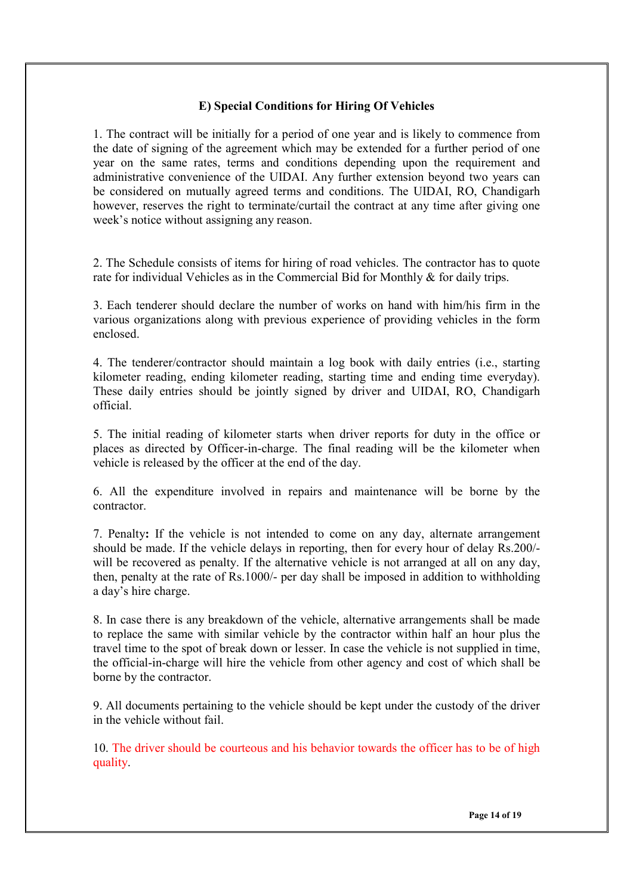### **E) Special Conditions for Hiring Of Vehicles**

1. The contract will be initially for a period of one year and is likely to commence from the date of signing of the agreement which may be extended for a further period of one year on the same rates, terms and conditions depending upon the requirement and administrative convenience of the UIDAI. Any further extension beyond two years can be considered on mutually agreed terms and conditions. The UIDAI, RO, Chandigarh however, reserves the right to terminate/curtail the contract at any time after giving one week's notice without assigning any reason.

2. The Schedule consists of items for hiring of road vehicles. The contractor has to quote rate for individual Vehicles as in the Commercial Bid for Monthly & for daily trips.

3. Each tenderer should declare the number of works on hand with him/his firm in the various organizations along with previous experience of providing vehicles in the form enclosed.

4. The tenderer/contractor should maintain a log book with daily entries (i.e., starting kilometer reading, ending kilometer reading, starting time and ending time everyday). These daily entries should be jointly signed by driver and UIDAI, RO, Chandigarh official.

5. The initial reading of kilometer starts when driver reports for duty in the office or places as directed by Officer-in-charge. The final reading will be the kilometer when vehicle is released by the officer at the end of the day.

6. All the expenditure involved in repairs and maintenance will be borne by the contractor.

7. Penalty**:** If the vehicle is not intended to come on any day, alternate arrangement should be made. If the vehicle delays in reporting, then for every hour of delay Rs.200/ will be recovered as penalty. If the alternative vehicle is not arranged at all on any day, then, penalty at the rate of Rs.1000/- per day shall be imposed in addition to withholding a day's hire charge.

8. In case there is any breakdown of the vehicle, alternative arrangements shall be made to replace the same with similar vehicle by the contractor within half an hour plus the travel time to the spot of break down or lesser. In case the vehicle is not supplied in time, the official-in-charge will hire the vehicle from other agency and cost of which shall be borne by the contractor.

9. All documents pertaining to the vehicle should be kept under the custody of the driver in the vehicle without fail.

10. The driver should be courteous and his behavior towards the officer has to be of high quality.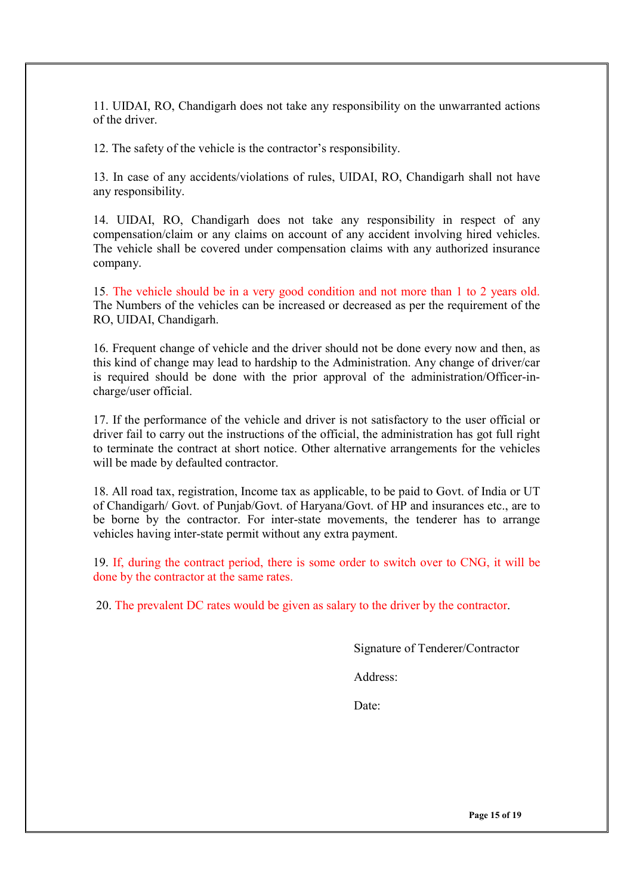11. UIDAI, RO, Chandigarh does not take any responsibility on the unwarranted actions of the driver.

12. The safety of the vehicle is the contractor's responsibility.

13. In case of any accidents/violations of rules, UIDAI, RO, Chandigarh shall not have any responsibility.

14. UIDAI, RO, Chandigarh does not take any responsibility in respect of any compensation/claim or any claims on account of any accident involving hired vehicles. The vehicle shall be covered under compensation claims with any authorized insurance company.

15. The vehicle should be in a very good condition and not more than 1 to 2 years old. The Numbers of the vehicles can be increased or decreased as per the requirement of the RO, UIDAI, Chandigarh.

16. Frequent change of vehicle and the driver should not be done every now and then, as this kind of change may lead to hardship to the Administration. Any change of driver/car is required should be done with the prior approval of the administration/Officer-incharge/user official.

17. If the performance of the vehicle and driver is not satisfactory to the user official or driver fail to carry out the instructions of the official, the administration has got full right to terminate the contract at short notice. Other alternative arrangements for the vehicles will be made by defaulted contractor.

18. All road tax, registration, Income tax as applicable, to be paid to Govt. of India or UT of Chandigarh/ Govt. of Punjab/Govt. of Haryana/Govt. of HP and insurances etc., are to be borne by the contractor. For inter-state movements, the tenderer has to arrange vehicles having inter-state permit without any extra payment.

19. If, during the contract period, there is some order to switch over to CNG, it will be done by the contractor at the same rates.

20. The prevalent DC rates would be given as salary to the driver by the contractor.

Signature of Tenderer/Contractor

Address:

Date:

**Page 15 of 19**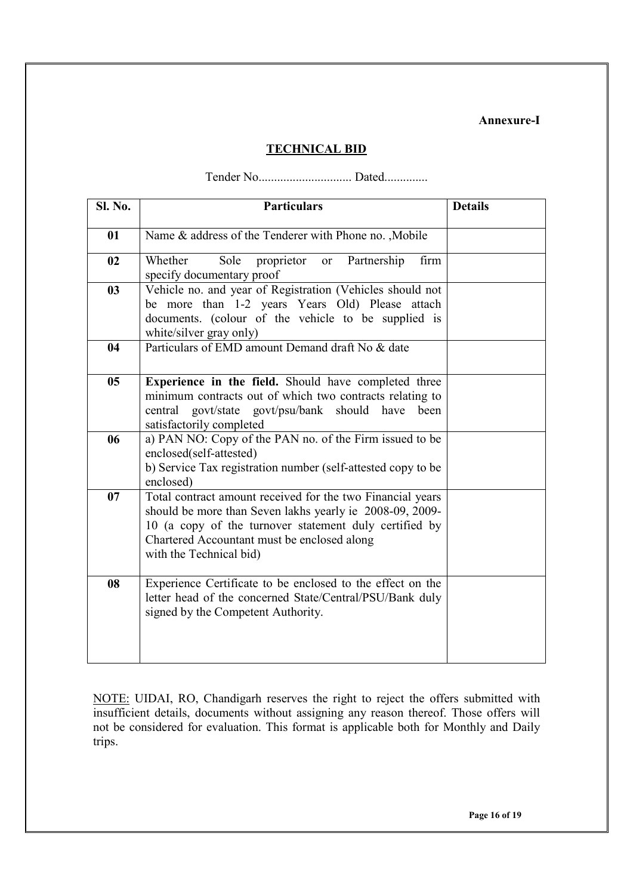#### **Annexure-I**

# **TECHNICAL BID**

Tender No.............................. Dated..............

| Sl. No. | <b>Particulars</b>                                                                                                                                                                                                                                         | <b>Details</b> |
|---------|------------------------------------------------------------------------------------------------------------------------------------------------------------------------------------------------------------------------------------------------------------|----------------|
| 01      | Name & address of the Tenderer with Phone no. , Mobile                                                                                                                                                                                                     |                |
| 02      | Sole<br>Partnership<br>firm<br>Whether<br>proprietor<br><b>or</b><br>specify documentary proof                                                                                                                                                             |                |
| 03      | Vehicle no. and year of Registration (Vehicles should not<br>be more than 1-2 years Years Old) Please attach<br>documents. (colour of the vehicle to be supplied is<br>white/silver gray only)                                                             |                |
| 04      | Particulars of EMD amount Demand draft No & date                                                                                                                                                                                                           |                |
| 05      | Experience in the field. Should have completed three<br>minimum contracts out of which two contracts relating to<br>govt/state govt/psu/bank should have<br>central<br>been<br>satisfactorily completed                                                    |                |
| 06      | a) PAN NO: Copy of the PAN no. of the Firm issued to be<br>enclosed(self-attested)<br>b) Service Tax registration number (self-attested copy to be<br>enclosed)                                                                                            |                |
| 07      | Total contract amount received for the two Financial years<br>should be more than Seven lakhs yearly ie 2008-09, 2009-<br>10 (a copy of the turnover statement duly certified by<br>Chartered Accountant must be enclosed along<br>with the Technical bid) |                |
| 08      | Experience Certificate to be enclosed to the effect on the<br>letter head of the concerned State/Central/PSU/Bank duly<br>signed by the Competent Authority.                                                                                               |                |

NOTE: UIDAI, RO, Chandigarh reserves the right to reject the offers submitted with insufficient details, documents without assigning any reason thereof. Those offers will not be considered for evaluation. This format is applicable both for Monthly and Daily trips.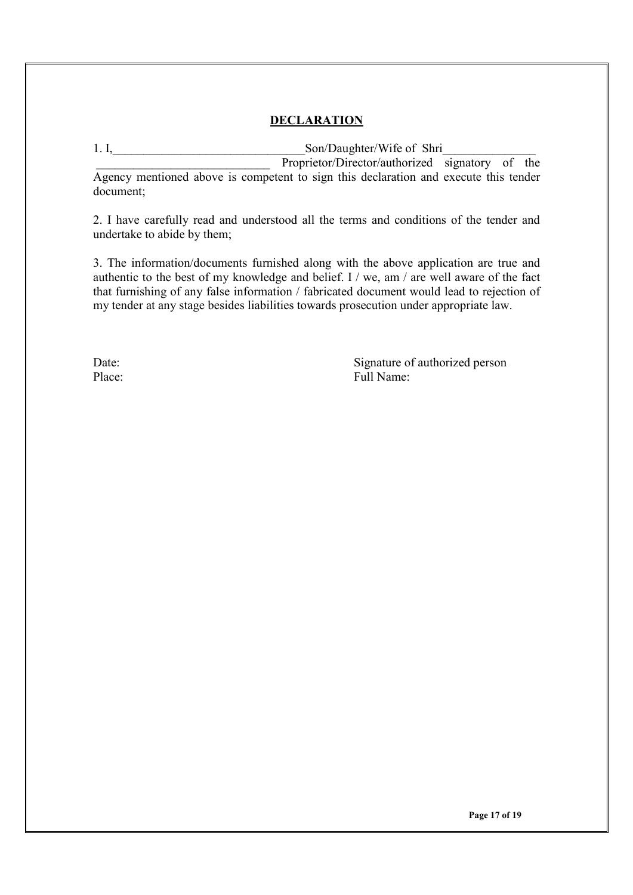# **DECLARATION**

1. I, Son/Daughter/Wife of Shri

Proprietor/Director/authorized signatory of the Agency mentioned above is competent to sign this declaration and execute this tender document;

2. I have carefully read and understood all the terms and conditions of the tender and undertake to abide by them;

3. The information/documents furnished along with the above application are true and authentic to the best of my knowledge and belief. I / we, am / are well aware of the fact that furnishing of any false information / fabricated document would lead to rejection of my tender at any stage besides liabilities towards prosecution under appropriate law.

Date: Signature of authorized person Place: Full Name: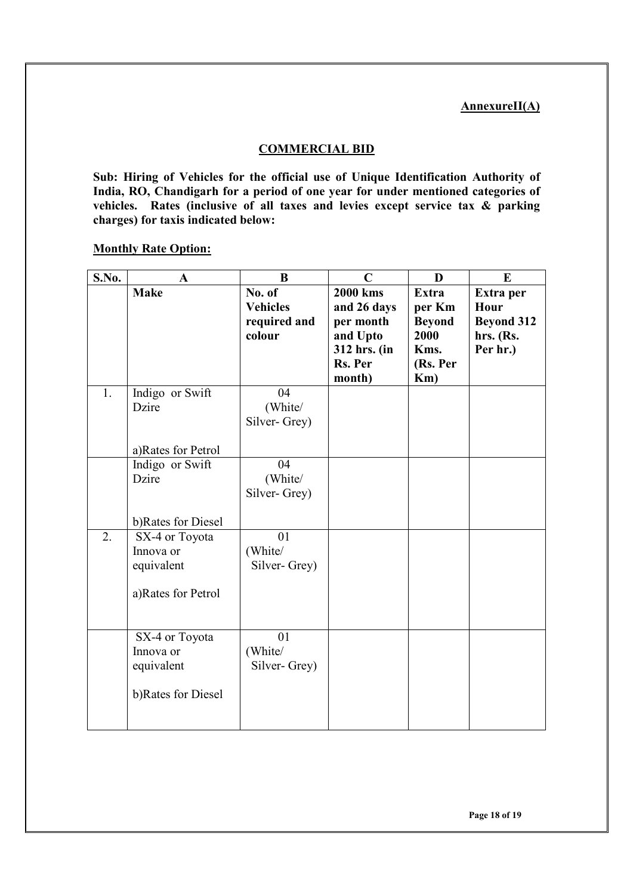### **AnnexureII(A)**

### **COMMERCIAL BID**

**Sub: Hiring of Vehicles for the official use of Unique Identification Authority of India, RO, Chandigarh for a period of one year for under mentioned categories of vehicles. Rates (inclusive of all taxes and levies except service tax & parking charges) for taxis indicated below:** 

#### **Monthly Rate Option:**

| S.No. | $\mathbf A$                                                     | B                                                   | $\mathbf C$                                                                                  | D                                                                             | E                                                               |
|-------|-----------------------------------------------------------------|-----------------------------------------------------|----------------------------------------------------------------------------------------------|-------------------------------------------------------------------------------|-----------------------------------------------------------------|
|       | <b>Make</b>                                                     | No. of<br><b>Vehicles</b><br>required and<br>colour | <b>2000 kms</b><br>and 26 days<br>per month<br>and Upto<br>312 hrs. (in<br>Rs. Per<br>month) | <b>Extra</b><br>per Km<br><b>Beyond</b><br>2000<br>Kms.<br>(Rs. Per<br>$Km$ ) | Extra per<br>Hour<br><b>Beyond 312</b><br>hrs. (Rs.<br>Per hr.) |
| 1.    | Indigo or Swift<br>Dzire<br>a)Rates for Petrol                  | 04<br>(White/<br>Silver-Grey)                       |                                                                                              |                                                                               |                                                                 |
|       | Indigo or Swift<br>Dzire<br>b)Rates for Diesel                  | 04<br>(White/<br>Silver-Grey)                       |                                                                                              |                                                                               |                                                                 |
| 2.    | SX-4 or Toyota<br>Innova or<br>equivalent<br>a)Rates for Petrol | 01<br>(White/<br>Silver-Grey)                       |                                                                                              |                                                                               |                                                                 |
|       | SX-4 or Toyota<br>Innova or<br>equivalent<br>b)Rates for Diesel | 01<br>(White/<br>Silver-Grey)                       |                                                                                              |                                                                               |                                                                 |